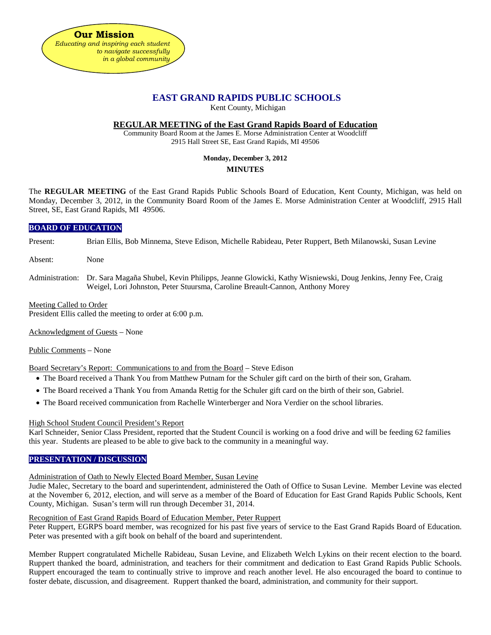

# **EAST GRAND RAPIDS PUBLIC SCHOOLS**

Kent County, Michigan

### **REGULAR MEETING of the East Grand Rapids Board of Education**

Community Board Room at the James E. Morse Administration Center at Woodcliff 2915 Hall Street SE, East Grand Rapids, MI 49506

# **Monday, December 3, 2012**

## **MINUTES**

The **REGULAR MEETING** of the East Grand Rapids Public Schools Board of Education, Kent County, Michigan, was held on Monday, December 3, 2012, in the Community Board Room of the James E. Morse Administration Center at Woodcliff, 2915 Hall Street, SE, East Grand Rapids, MI 49506.

## **BOARD OF EDUCATION**

Present: Brian Ellis, Bob Minnema, Steve Edison, Michelle Rabideau, Peter Ruppert, Beth Milanowski, Susan Levine

- Absent: None
- Administration: Dr. Sara Magaña Shubel, Kevin Philipps, Jeanne Glowicki, Kathy Wisniewski, Doug Jenkins, Jenny Fee, Craig Weigel, Lori Johnston, Peter Stuursma, Caroline Breault-Cannon, Anthony Morey

## Meeting Called to Order

President Ellis called the meeting to order at 6:00 p.m.

Acknowledgment of Guests – None

#### Public Comments – None

Board Secretary's Report: Communications to and from the Board – Steve Edison

- The Board received a Thank You from Matthew Putnam for the Schuler gift card on the birth of their son, Graham.
- The Board received a Thank You from Amanda Rettig for the Schuler gift card on the birth of their son, Gabriel.
- The Board received communication from Rachelle Winterberger and Nora Verdier on the school libraries.

#### High School Student Council President's Report

Karl Schneider, Senior Class President, reported that the Student Council is working on a food drive and will be feeding 62 families this year. Students are pleased to be able to give back to the community in a meaningful way.

## **PRESENTATION / DISCUSSION**

## Administration of Oath to Newly Elected Board Member, Susan Levine

Judie Malec, Secretary to the board and superintendent, administered the Oath of Office to Susan Levine. Member Levine was elected at the November 6, 2012, election, and will serve as a member of the Board of Education for East Grand Rapids Public Schools, Kent County, Michigan. Susan's term will run through December 31, 2014.

#### Recognition of East Grand Rapids Board of Education Member, Peter Ruppert

Peter Ruppert, EGRPS board member, was recognized for his past five years of service to the East Grand Rapids Board of Education. Peter was presented with a gift book on behalf of the board and superintendent.

Member Ruppert congratulated Michelle Rabideau, Susan Levine, and Elizabeth Welch Lykins on their recent election to the board. Ruppert thanked the board, administration, and teachers for their commitment and dedication to East Grand Rapids Public Schools. Ruppert encouraged the team to continually strive to improve and reach another level. He also encouraged the board to continue to foster debate, discussion, and disagreement. Ruppert thanked the board, administration, and community for their support.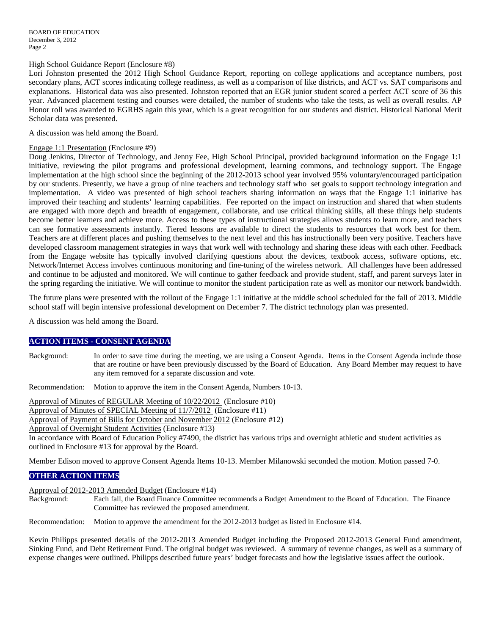#### High School Guidance Report (Enclosure #8)

Lori Johnston presented the 2012 High School Guidance Report, reporting on college applications and acceptance numbers, post secondary plans, ACT scores indicating college readiness, as well as a comparison of like districts, and ACT vs. SAT comparisons and explanations. Historical data was also presented. Johnston reported that an EGR junior student scored a perfect ACT score of 36 this year. Advanced placement testing and courses were detailed, the number of students who take the tests, as well as overall results. AP Honor roll was awarded to EGRHS again this year, which is a great recognition for our students and district. Historical National Merit Scholar data was presented.

A discussion was held among the Board.

#### Engage 1:1 Presentation (Enclosure #9)

Doug Jenkins, Director of Technology, and Jenny Fee, High School Principal, provided background information on the Engage 1:1 initiative, reviewing the pilot programs and professional development, learning commons, and technology support. The Engage implementation at the high school since the beginning of the 2012-2013 school year involved 95% voluntary/encouraged participation by our students. Presently, we have a group of nine teachers and technology staff who set goals to support technology integration and implementation. A video was presented of high school teachers sharing information on ways that the Engage 1:1 initiative has improved their teaching and students' learning capabilities. Fee reported on the impact on instruction and shared that when students are engaged with more depth and breadth of engagement, collaborate, and use critical thinking skills, all these things help students become better learners and achieve more. Access to these types of instructional strategies allows students to learn more, and teachers can see formative assessments instantly. Tiered lessons are available to direct the students to resources that work best for them. Teachers are at different places and pushing themselves to the next level and this has instructionally been very positive. Teachers have developed classroom management strategies in ways that work well with technology and sharing these ideas with each other. Feedback from the Engage website has typically involved clarifying questions about the devices, textbook access, software options, etc. Network/Internet Access involves continuous monitoring and fine-tuning of the wireless network. All challenges have been addressed and continue to be adjusted and monitored. We will continue to gather feedback and provide student, staff, and parent surveys later in the spring regarding the initiative. We will continue to monitor the student participation rate as well as monitor our network bandwidth.

The future plans were presented with the rollout of the Engage 1:1 initiative at the middle school scheduled for the fall of 2013. Middle school staff will begin intensive professional development on December 7. The district technology plan was presented.

A discussion was held among the Board.

## **ACTION ITEMS - CONSENT AGENDA**

Background: In order to save time during the meeting, we are using a Consent Agenda. Items in the Consent Agenda include those that are routine or have been previously discussed by the Board of Education. Any Board Member may request to have any item removed for a separate discussion and vote.

Recommendation: Motion to approve the item in the Consent Agenda, Numbers 10-13.

Approval of Minutes of REGULAR Meeting of 10/22/2012 (Enclosure #10)

Approval of Minutes of SPECIAL Meeting of 11/7/2012 (Enclosure #11)

Approval of Payment of Bills for October and November 2012 (Enclosure #12)

Approval of Overnight Student Activities (Enclosure #13)

In accordance with Board of Education Policy #7490, the district has various trips and overnight athletic and student activities as outlined in Enclosure #13 for approval by the Board.

Member Edison moved to approve Consent Agenda Items 10-13. Member Milanowski seconded the motion. Motion passed 7-0.

## **OTHER ACTION ITEMS**

Approval of 2012-2013 Amended Budget (Enclosure #14)

Background: Each fall, the Board Finance Committee recommends a Budget Amendment to the Board of Education. The Finance Committee has reviewed the proposed amendment.

Recommendation: Motion to approve the amendment for the 2012-2013 budget as listed in Enclosure #14.

Kevin Philipps presented details of the 2012-2013 Amended Budget including the Proposed 2012-2013 General Fund amendment, Sinking Fund, and Debt Retirement Fund. The original budget was reviewed. A summary of revenue changes, as well as a summary of expense changes were outlined. Philipps described future years' budget forecasts and how the legislative issues affect the outlook.